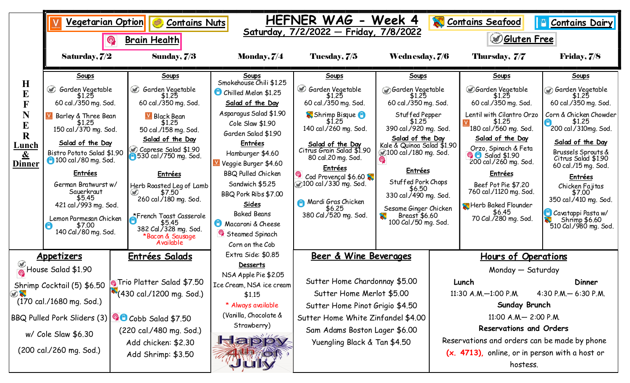|                                                                                                                                                                                                    | <u>Vegetarian Option</u><br>$\circledR$                                                                                                                                                                                                                                                                                                           | <b>Contains Nuts</b><br><b>Brain Health</b>                                                                                                                                                                                                                                                                                                                             | HEFNER WAG<br>Week 4<br>Contains Seafood<br>$\Box$<br><b>Contains Dairy</b><br>Saturday, 7/2/2022 - Friday, 7/8/2022<br><b><i><u>Disten Free</u></i></b>                                                                                                                                                                                                                          |                                                                                                                                                                                                                                                                                                                        |                                                                                                                                                                                                                                                                                                                                                          |                                                                                                                                                                                                                                                                                                                  |                                                                                                                                                                                                                                                                                                                                                             |                                                                                                                                                                                                                                                                                                                                                                   |
|----------------------------------------------------------------------------------------------------------------------------------------------------------------------------------------------------|---------------------------------------------------------------------------------------------------------------------------------------------------------------------------------------------------------------------------------------------------------------------------------------------------------------------------------------------------|-------------------------------------------------------------------------------------------------------------------------------------------------------------------------------------------------------------------------------------------------------------------------------------------------------------------------------------------------------------------------|-----------------------------------------------------------------------------------------------------------------------------------------------------------------------------------------------------------------------------------------------------------------------------------------------------------------------------------------------------------------------------------|------------------------------------------------------------------------------------------------------------------------------------------------------------------------------------------------------------------------------------------------------------------------------------------------------------------------|----------------------------------------------------------------------------------------------------------------------------------------------------------------------------------------------------------------------------------------------------------------------------------------------------------------------------------------------------------|------------------------------------------------------------------------------------------------------------------------------------------------------------------------------------------------------------------------------------------------------------------------------------------------------------------|-------------------------------------------------------------------------------------------------------------------------------------------------------------------------------------------------------------------------------------------------------------------------------------------------------------------------------------------------------------|-------------------------------------------------------------------------------------------------------------------------------------------------------------------------------------------------------------------------------------------------------------------------------------------------------------------------------------------------------------------|
|                                                                                                                                                                                                    | Saturday, 7/2                                                                                                                                                                                                                                                                                                                                     | Sunday, 7/3                                                                                                                                                                                                                                                                                                                                                             | <b>Monday, 7/4</b>                                                                                                                                                                                                                                                                                                                                                                | Tuesday, 7/5                                                                                                                                                                                                                                                                                                           | Wednesday, 7/6                                                                                                                                                                                                                                                                                                                                           |                                                                                                                                                                                                                                                                                                                  | Thursday, 7/7                                                                                                                                                                                                                                                                                                                                               | <b>Friday, 7/8</b>                                                                                                                                                                                                                                                                                                                                                |
| $\mathbf H$<br>E<br>$\overline{\mathbf{F}}$<br>N<br>E<br>$\mathbf R$<br><u>Lunch</u><br>$\underline{\&}$<br><b>Dinner</b>                                                                          | Soups<br>Solden Vegetable<br>60 cal./350 mg. Sod.<br>Barley & Three Bean<br>51.25<br>150 cal./370 mg. Sod.<br>Salad of the Day<br>Bistro Potato Salad \$1.90<br>100 cal./80 mg. Sod.<br><b>Entrées</b><br>German Bratwurst w/<br>Sauerkraut<br>\$5.45<br>421 cal./993 mg. Sod.<br>Lemon Parmesan Chicken<br>\$7.00<br>CÒ.<br>140 Cal./80 mg. Sod. | Soups<br>@ Garden Vegetable<br>\$1.25<br>60 cal./350 mg. Sod.<br>$V$ Black Bean<br>\$1.25<br>50 cal./158 mg. Sod.<br>Salad of the Day<br>Caprese Salad \$1.90<br>530 cal / 750 mg. Sod.<br><b>Entrées</b><br>Herb Roasted Leg of Lamb<br>\$7.50<br>260 cal./180 mg. Sod.<br>*French Toast Casserole<br>\$5.45<br>382 Cal./328 mg. Sod.<br>*Bacon & Sausage<br>Available | Soups<br>Smokehouse Chili \$1.25<br>Chilled Melon \$1.25<br>Salad of the Day<br>Asparagus Salad \$1.90<br>Cole Slaw \$1.90<br>Garden Salad \$1.90<br><b>Entrées</b><br>Hamburger \$4.60<br>Veggie Burger \$4.60<br><b>BBQ Pulled Chicken</b><br>Sandwich \$5.25<br>BBQ Pork Ribs \$7.00<br>Sides<br><b>Baked Beans</b><br>Macaroni & Cheese<br>Steamed Spinach<br>Corn on the Cob | Soups<br>Garden Vegetable<br>\$1.25<br>60 cal./350 mg. Sod.<br>Shrimp Bisque &<br>\$1.25<br>140 cal./260 mg. Sod.<br><b>Salad of the Day</b><br>Citrus Grain Salad \$1.90<br>80 cal.20 mg. Sod.<br>Entrées<br>Cod Provençal $$6.60$<br>▒100 cal./330 mg. Sod.<br>Mardi Gras Chicken<br>\$6.25<br>380 Cal./520 mg. Sod. | Soups<br>Garden Vegetable<br>\$1.25<br>60 cal./350 mg. Sod.<br>Stuffed Pepper<br>\$1.25<br>390 cal./920 mg. Sod.<br>Salad of the Day<br>Kale & Quinoa Salad \$1.90<br>100 cal./180 mg. Sod.<br><b>Entrées</b><br>Stuffed Pork Chops<br>\$6.50<br>330 cal./490 mg. Sod.<br>Sesame Ginger Chicken<br>Breast \$6.60<br>$\mathbf{X}$<br>100 Cal./50 mg. Sod. |                                                                                                                                                                                                                                                                                                                  | Soups<br><b>Sarden Vegetable</b><br>51.25<br>60 cal./350 mg. Sod.<br>Lentil with Cilantro Orzo<br>\$1.25<br>180 cal./560 mg. Sod.<br>Salad of the Day<br>Orzo, Spinach & Feta<br><b>Q</b> Salad \$1.90<br>200 cal./260 mg. Sod.<br><b>Entrées</b><br>Beef Pot Pie \$7.20<br>760 cal /1120 mg. Sod.<br>Herb Baked Flounder<br>\$6.45<br>70 Cal./280 mg. Sod. | Soups<br>Garden Vegetable<br>\$1.25<br>60 cal./350 mg. Sod.<br>Corn & Chicken Chowder<br>\$1.25<br>200 cal./310mg. Sod.<br>Salad of the Day<br>Brussels Sprouts &<br>Citrus Salad \$1.90<br>60 cal./15 mg. Sod.<br>Entrées<br>Chicken Fajitas<br>\$7.00<br>350 cal./410 mg. Sod.<br>Cavatappi Pasta w/<br><b>A</b><br>\$10 Shrimp \$6.60<br>510 Cal./980 mg. Sod. |
| <u>Appetizers</u><br>House Salad \$1.90<br>Shrimp Cocktail (5) \$6.50<br>$\bigcirc$<br>(170 cal./1680 mg. Sod.)<br>BBQ Pulled Pork Sliders (3)<br>$w/$ Cole Slaw \$6.30<br>(200 cal./260 mg. Sod.) |                                                                                                                                                                                                                                                                                                                                                   | <u>Entrées Salads</u><br><b>Pa Trio Platter Salad \$7.50</b><br>(430 cal./1200 mg. Sod.)<br><b>PC</b> Cobb Salad \$7.50<br>(220 cal./480 mg. Sod.)<br>Add chicken: \$2.30<br>Add Shrimp: \$3.50                                                                                                                                                                         | Extra Side: \$0.85<br><u>Desserts</u><br>NSA Apple Pie \$2.05<br>Ice Cream, NSA ice cream<br>\$1.15<br>* Always available<br>(Vanilla, Chocolate &<br>Strawberry)<br>app                                                                                                                                                                                                          | Beer & Wine Beverages<br>Sutter Home Chardonnay \$5.00<br>Sutter Home Merlot \$5.00<br>Sutter Home Pinot Grigio \$4.50<br>Sutter Home White Zinfandel \$4.00<br>Sam Adams Boston Lager \$6.00<br>Yuengling Black & Tan \$4.50                                                                                          |                                                                                                                                                                                                                                                                                                                                                          | <u>Hours of Operations</u><br>Monday - Saturday<br>Lunch<br>Dinner<br>11:30 A.M. $-1:00$ P.M.<br>4:30 P.M. - 6:30 P.M.<br>Sunday Brunch<br>11:00 A.M.- 2:00 P.M.<br><b>Reservations and Orders</b><br>Reservations and orders can be made by phone<br>(x. 4713), online, or in person with a host or<br>hostess. |                                                                                                                                                                                                                                                                                                                                                             |                                                                                                                                                                                                                                                                                                                                                                   |